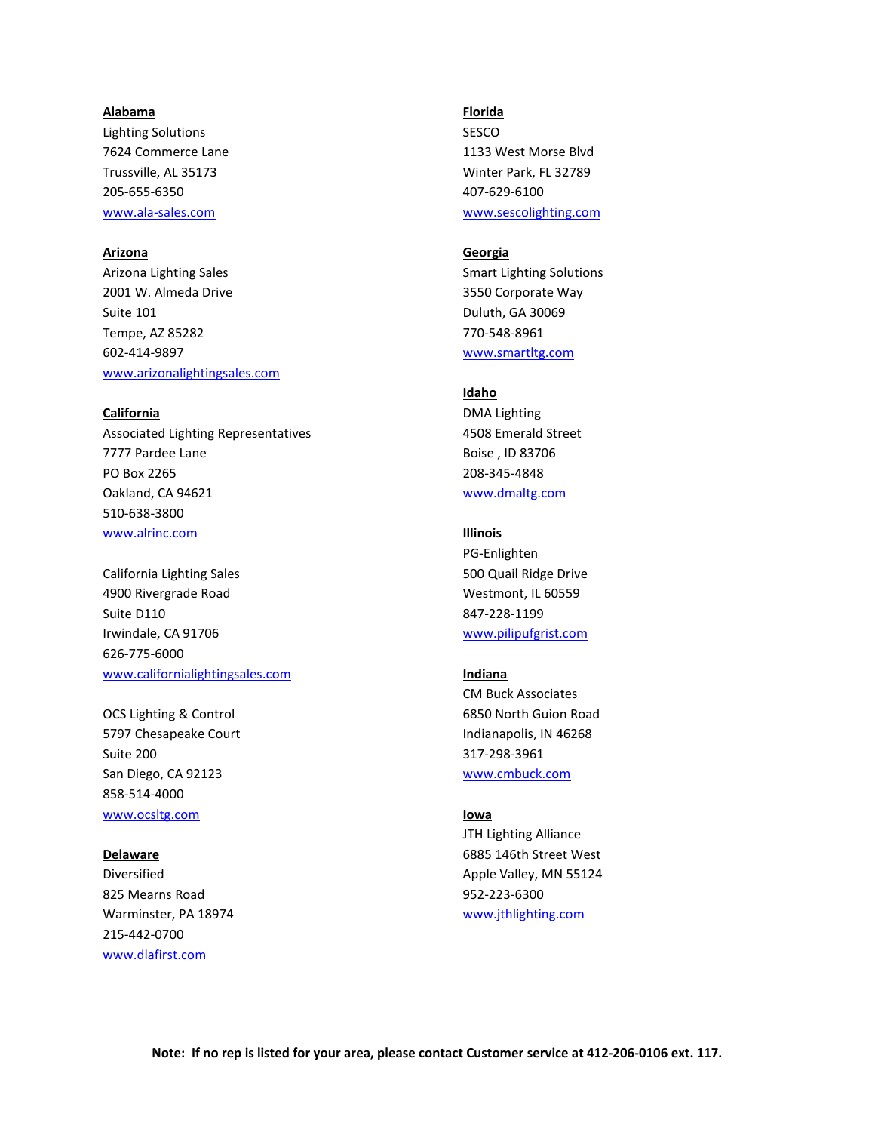### **Alabama**

Lighting Solutions 7624 Commerce Lane Trussville, AL 35173 205-655-6350 www.ala-sales.com

# **Arizona**

Arizona Lighting Sales 2001 W. Almeda Drive Suite 101 Tempe, AZ 85282 602-414-9897 [www.arizonalightingsales.com](http://www.arizonalightingsales.com/)

### **California**

Associated Lighting Representatives 7777 Pardee Lane PO Box 2265 Oakland, CA 94621 510-638-3800 www.alrinc.com

California Lighting Sales 4900 Rivergrade Road Suite D110 Irwindale, CA 91706 626-775-6000 www.californialightingsales.com

OCS Lighting & Control 5797 Chesapeake Court Suite 200 San Diego, CA 92123 858-514-4000 www.ocsltg.com

#### **Delaware**

Diversified 825 Mearns Road Warminster, PA 18974 215-442-0700 www.dlafirst.com

#### **Florida**

SESCO 1133 West Morse Blvd Winter Park, FL 32789 407-629-6100 www.sescolighting.com

## **Georgia**

Smart Lighting Solutions 3550 Corporate Way Duluth, GA 30069 770-548-8961 [www.smartltg.com](http://www.smartltg.com/)

## **Idaho**

DMA Lighting 4508 Emerald Street Boise , ID 83706 208-345-4848 [www.dmaltg.com](http://www.dmaltg.com/)

## **Illinois**

PG-Enlighten 500 Quail Ridge Drive Westmont, IL 60559 847-228-1199 www.pilipufgrist.com

# **Indiana**

CM Buck Associates 6850 North Guion Road Indianapolis, IN 46268 317-298-3961 www.cmbuck.com

### **Iowa**

JTH Lighting Alliance 6885 146th Street West Apple Valley, MN 55124 952-223-6300 www.jthlighting.com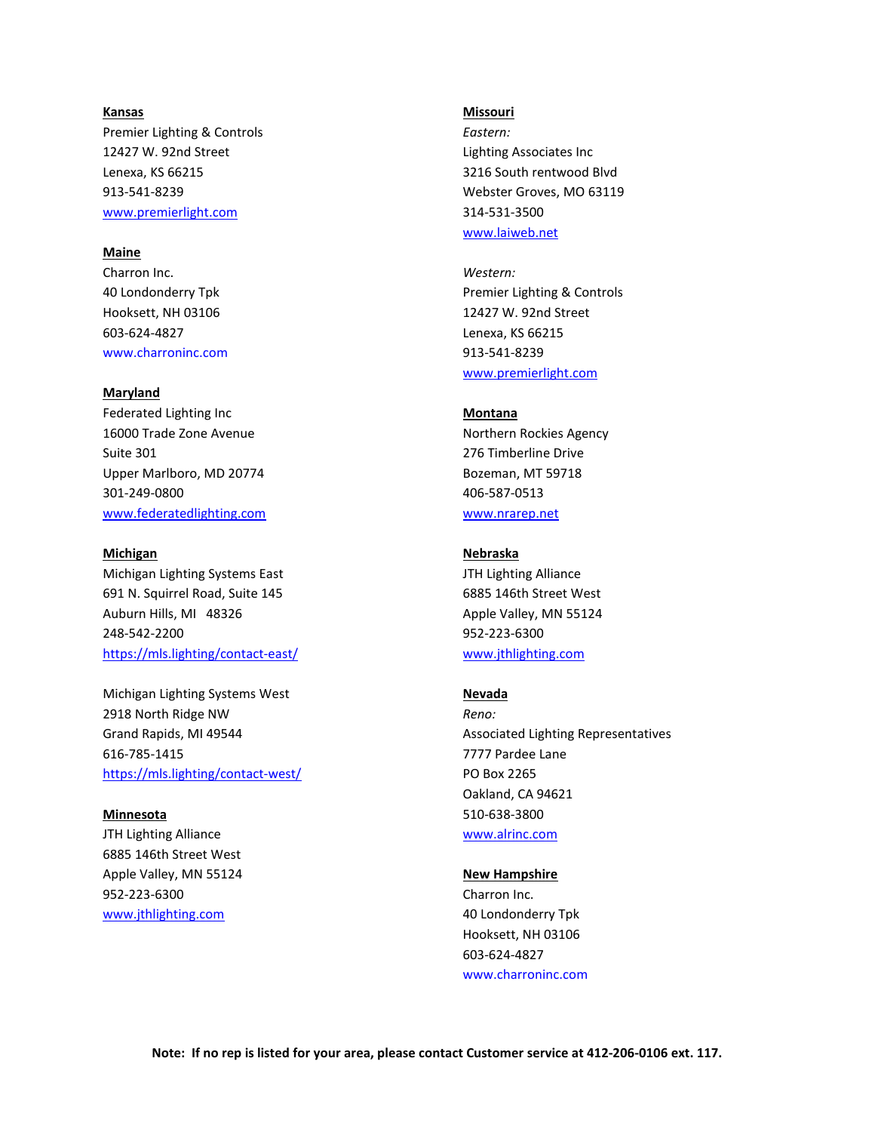#### **Kansas**

Premier Lighting & Controls 12427 W. 92nd Street Lenexa, KS 66215 913-541-8239 www.premierlight.com

# **Maine**

Charron Inc. 40 Londonderry Tpk Hooksett, NH 03106 603-624-4827 [www.charroninc.com](http://www.charroninc.com/)

## **Maryland**

Federated Lighting Inc 16000 Trade Zone Avenue Suite 301 Upper Marlboro, MD 20774 301-249-0800 www.federatedlighting.com

#### **Michigan**

Michigan Lighting Systems East 691 N. Squirrel Road, Suite 145 Auburn Hills, MI 48326 248-542-2200 <https://mls.lighting/contact-east/>

Michigan Lighting Systems West 2918 North Ridge NW Grand Rapids, MI 49544 616-785-1415 <https://mls.lighting/contact-west/>

#### **Minnesota**

JTH Lighting Alliance 6885 146th Street West Apple Valley, MN 55124 952-223-6300 www.jthlighting.com

#### **Missouri**

*Eastern:* Lighting Associates Inc 3216 South rentwood Blvd Webster Groves, MO 63119 314-531-3500 www.laiweb.net

*Western:*  Premier Lighting & Controls 12427 W. 92nd Street Lenexa, KS 66215 913-541-8239 www.premierlight.com

### **Montana**

Northern Rockies Agency 276 Timberline Drive Bozeman, MT 59718 406-587-0513 [www.nrarep.net](http://www.nrarep.net/)

### **Nebraska**

JTH Lighting Alliance 6885 146th Street West Apple Valley, MN 55124 952-223-6300 www.jthlighting.com

## **Nevada**

*Reno:* Associated Lighting Representatives 7777 Pardee Lane PO Box 2265 Oakland, CA 94621 510-638-3800 [www.alrinc.com](http://www.alrinc.com/)

#### **New Hampshire**

Charron Inc. 40 Londonderry Tpk Hooksett, NH 03106 603-624-4827 [www.charroninc.com](http://www.charroninc.com/)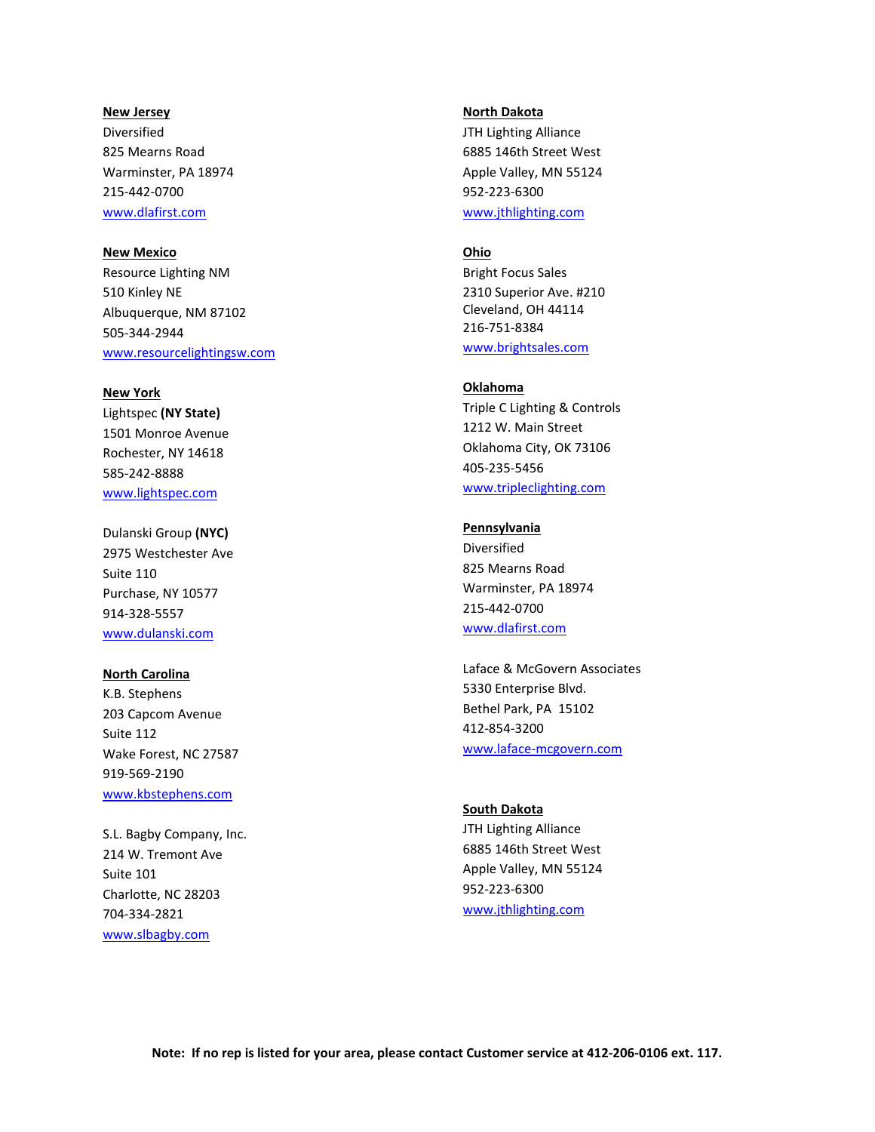#### **New Jersey**

Diversified 825 Mearns Road Warminster, PA 18974 215-442-0700 [www.dlafirst.com](http://www.dlafirst.com/)

## **New Mexico**

Resource Lighting NM 510 Kinley NE Albuquerque, NM 87102 505-344-2944 www.resourcelightingsw.com

## **New York**

Lightspec **(NY State)** 1501 Monroe Avenue Rochester, NY 14618 585-242-8888 www.lightspec.com

Dulanski Group **(NYC)** 2975 Westchester Ave Suite 110 Purchase, NY 10577 914-328-5557 www.dulanski.com

### **North Carolina**

K.B. Stephens 203 Capcom Avenue Suite 112 Wake Forest, NC 27587 919-569-2190 [www.kbstephens.com](http://www.kbstephens.com/)

S.L. Bagby Company, Inc. 214 W. Tremont Ave Suite 101 Charlotte, NC 28203 704-334-2821 www.slbagby.com

#### **North Dakota**

JTH Lighting Alliance 6885 146th Street West Apple Valley, MN 55124 952-223-6300 www.jthlighting.com

# **Ohio**

Bright Focus Sales 2310 Superior Ave. #210 Cleveland, OH 44114 216-751-8384 [www.brightsales.com](http://www.brightsales.com/)

### **Oklahoma**

Triple C Lighting & Controls 1212 W. Main Street Oklahoma City, OK 73106 405-235-5456 www.tripleclighting.com

### **Pennsylvania**

Diversified 825 Mearns Road Warminster, PA 18974 215-442-0700 [www.dlafirst.com](http://www.dlafirst.com/)

Laface & McGovern Associates 5330 Enterprise Blvd. Bethel Park, PA 15102 412-854-3200 [www.laface-mcgovern.com](http://www.laface-mcgovern.com/)

# **South Dakota**

JTH Lighting Alliance 6885 146th Street West Apple Valley, MN 55124 952-223-6300 www.jthlighting.com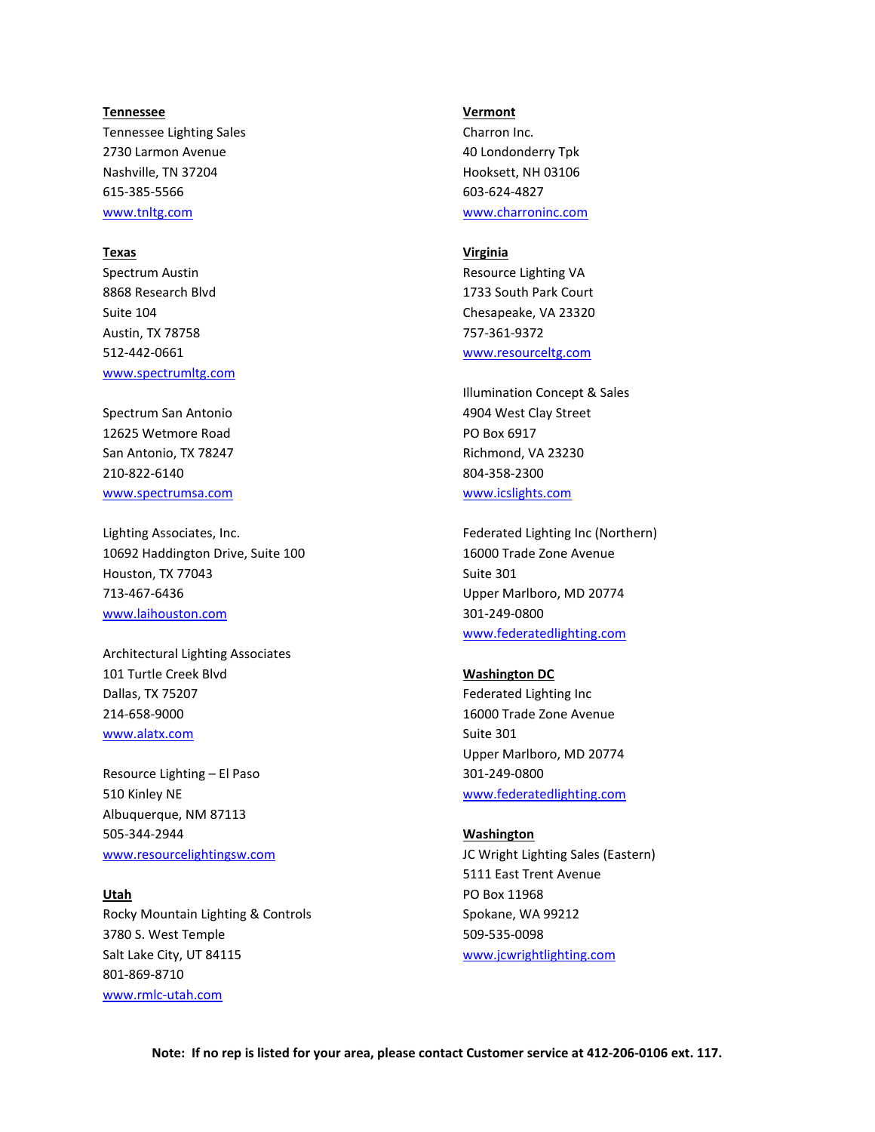#### **Tennessee**

Tennessee Lighting Sales 2730 Larmon Avenue Nashville, TN 37204 615-385-5566 [www.tnltg.com](http://www.tnltg.com/)

# **Texas**

Spectrum Austin 8868 Research Blvd Suite 104 Austin, TX 78758 512-442-0661 www.spectrumltg.com

Spectrum San Antonio 12625 Wetmore Road San Antonio, TX 78247 210-822-6140 [www.spectrumsa.com](http://www.spectrumsa.com/)

Lighting Associates, Inc. 10692 Haddington Drive, Suite 100 Houston, TX 77043 713-467-6436 [www.laihouston.com](http://www.laihouston.com/)

Architectural Lighting Associates 101 Turtle Creek Blvd Dallas, TX 75207 214-658-9000 www.alatx.com

Resource Lighting – El Paso 510 Kinley NE Albuquerque, NM 87113 505-344-2944 www.resourcelightingsw.com

**Utah** Rocky Mountain Lighting & Controls 3780 S. West Temple Salt Lake City, UT 84115 801-869-8710 [www.rmlc-utah.com](http://www.rmlc-utah.com/)

#### **Vermont**

Charron Inc. 40 Londonderry Tpk Hooksett, NH 03106 603-624-4827 [www.charroninc.com](http://www.charroninc.com/)

# **Virginia**

Resource Lighting VA 1733 South Park Court Chesapeake, VA 23320 757-361-9372 [www.resourceltg.com](http://www.resourceltg.com/)

Illumination Concept & Sales 4904 West Clay Street PO Box 6917 Richmond, VA 23230 804-358-2300 [www.icslights.com](http://www.icslights.com/)

Federated Lighting Inc (Northern) 16000 Trade Zone Avenue Suite 301 Upper Marlboro, MD 20774 301-249-0800 www.federatedlighting.com

### **Washington DC**

Federated Lighting Inc 16000 Trade Zone Avenue Suite 301 Upper Marlboro, MD 20774 301-249-0800 www.federatedlighting.com

#### **Washington**

JC Wright Lighting Sales (Eastern) 5111 East Trent Avenue PO Box 11968 Spokane, WA 99212 509-535-0098 [www.jcwrightlighting.com](http://www.jcwrightlighting.com/)